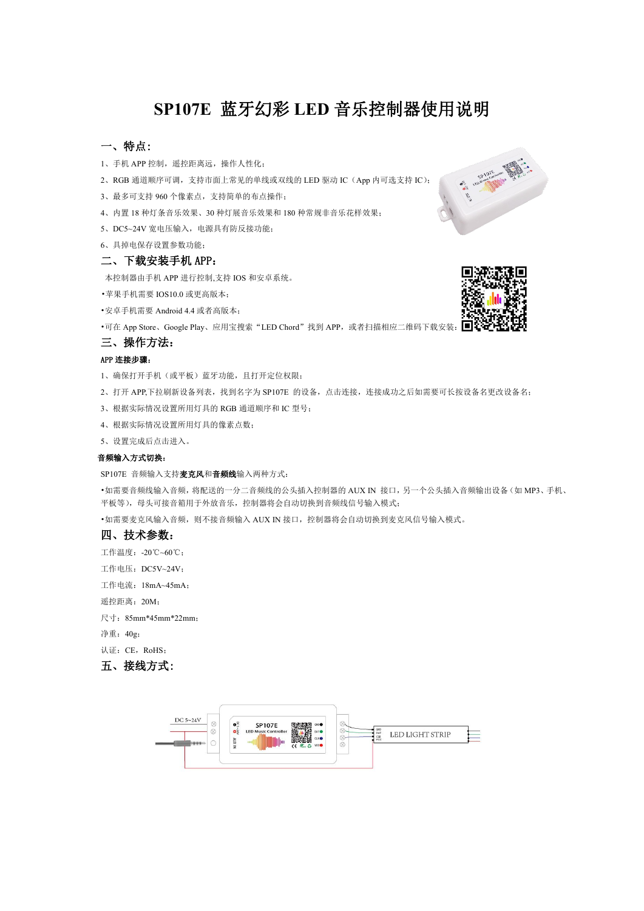# **SP107E** 蓝牙幻彩 **LED** 音乐控制器使用说明

## 一、特点:

- 1、手机 APP 控制, 遥控距离远, 操作人性化;
- 2、RGB 通道顺序可调,支持市面上常见的单线或双线的 LED 驱动 IC (App 内可选支持 IC);
- 3、最多可支持 960 个像素点,支持简单的布点操作;
- 4、内置 18 种灯条音乐效果、30 种灯展音乐效果和 180 种常规非音乐花样效果;
- 5、DC5~24V 宽电压输入,电源具有防反接功能;
- 6、具掉电保存设置参数功能;

## 二、下载安装手机 APP:

本控制器由手机 APP 进行控制,支持 IOS 和安卓系统。

•苹果手机需要 IOS10.0 或更高版本;

•安卓手机需要 Android 4.4 或者高版本;

•可在 App Store、Google Play、应用宝搜索"LED Chord"找到 APP, 或者扫描相应二维码下载安装:

## 三、操作方法:

## APP 连接步骤:

1、确保打开手机(或平板)蓝牙功能,且打开定位权限;

- 2、打开 APP,下拉刷新设备列表,找到名字为 SP107E 的设备,点击连接,连接成功之后如需要可长按设备名更改设备名;
- 3、根据实际情况设置所用灯具的 RGB 通道顺序和 IC 型号;
- 4、根据实际情况设置所用灯具的像素点数;

5、设置完成后点击进入。

## 音频输入方式切换:

SP107E 音频输入支持麦克风和音频线输入两种方式:

•如需要音频线输入音频,将配送的一分二音频线的公头插入控制器的 AUX IN 接口,另一个公头插入音频输出设备(如 MP3、手机、 平板等),母头可接音箱用于外放音乐,控制器将会自动切换到音频线信号输入模式;

•如需要麦克风输入音频,则不接音频输入 AUX IN 接口, 控制器将会自动切换到麦克风信号输入模式。

## 四、技术参数:

- 工作温度:-20℃~60℃;
- 工作电压:DC5V~24V;
- 工作电流:18mA~45mA;

遥控距离:20M;

尺寸:85mm\*45mm\*22mm;

净重:40g;

认证: CE, RoHS:

五、接线方式: